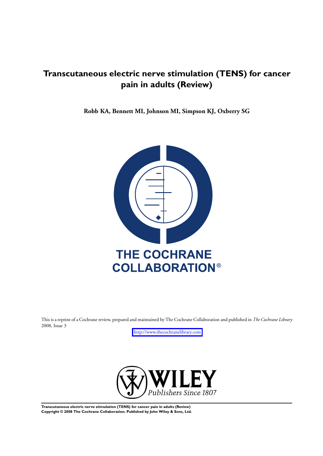# **Transcutaneous electric nerve stimulation (TENS) for cancer pain in adults (Review)**

**Robb KA, Bennett MI, Johnson MI, Simpson KJ, Oxberry SG**



This is a reprint of a Cochrane review, prepared and maintained by The Cochrane Collaboration and published in *The Cochrane Library* 2008, Issue 3

<http://www.thecochranelibrary.com>



**Transcutaneous electric nerve stimulation (TENS) for cancer pain in adults (Review) Copyright © 2008 The Cochrane Collaboration. Published by John Wiley & Sons, Ltd.**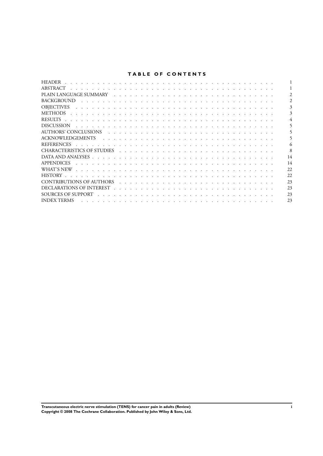## **TABLE OF CONTENTS**

| <b>HEADER</b>                                                                                                                                                                                                                                       |    |
|-----------------------------------------------------------------------------------------------------------------------------------------------------------------------------------------------------------------------------------------------------|----|
| ABSTRACT<br>the contract of the contract of the contract of the contract of the contract of the contract of the contract of                                                                                                                         |    |
|                                                                                                                                                                                                                                                     |    |
| <b>BACKGROUND</b>                                                                                                                                                                                                                                   |    |
| <b>OBIECTIVES</b>                                                                                                                                                                                                                                   |    |
| <b>METHODS</b>                                                                                                                                                                                                                                      |    |
| <b>RESULTS</b><br>a constitution of the constitution of the constitution of the constitution of the constitution of the constitution                                                                                                                |    |
| <b>DISCUSSION</b>                                                                                                                                                                                                                                   |    |
| AUTHORS' CONCLUSIONS                                                                                                                                                                                                                                |    |
| ACKNOWLEDGEMENTS                                                                                                                                                                                                                                    |    |
| <b>REFERENCES</b><br>and the contract of the contract of the contract of the contract of the contract of the contract of the contract of the contract of the contract of the contract of the contract of the contract of the contract of the contra |    |
|                                                                                                                                                                                                                                                     |    |
|                                                                                                                                                                                                                                                     | 14 |
| <b>APPENDICES</b>                                                                                                                                                                                                                                   | 14 |
|                                                                                                                                                                                                                                                     | 22 |
| <b>HISTORY</b><br>and the company of the company of the company of the company of the company of the company of the company of the company of the company of the company of the company of the company of the company of the company of the comp    | 22 |
| CONTRIBUTIONS OF AUTHORS                                                                                                                                                                                                                            | 23 |
|                                                                                                                                                                                                                                                     | 23 |
|                                                                                                                                                                                                                                                     | 23 |
| <b>INDEX TERMS</b>                                                                                                                                                                                                                                  | 23 |
|                                                                                                                                                                                                                                                     |    |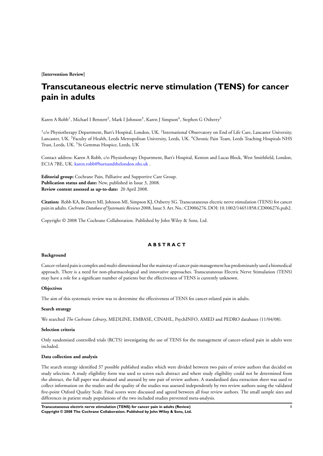**[Intervention Review]**

## **Transcutaneous electric nerve stimulation (TENS) for cancer pain in adults**

Karen A Robb<sup>1</sup>, Michael I Bennett<sup>2</sup>, Mark I Johnson<sup>3</sup>, Karen J Simpson<sup>4</sup>, Stephen G Oxberry<sup>5</sup>

<sup>1</sup>c/o Physiotherapy Department, Bart's Hospital, London, UK. <sup>2</sup>International Observatory on End of Life Care, Lancaster University, Lancaster, UK. <sup>3</sup>Faculty of Health, Leeds Metropolitan University, Leeds, UK. <sup>4</sup>Chronic Pain Team, Leeds Teaching Hospitals NHS Trust, Leeds, UK. <sup>5</sup>St Gemmas Hospice, Leeds, UK

Contact address: Karen A Robb, c/o Physiotherapy Department, Bart's Hospital, Kenton and Lucas Block, West Smithfield, London, EC1A 7BE, UK. [karen.robb@bartsandthelondon.nhs.uk](mailto:karen.robb@bartsandthelondon.nhs.uk ) .

**Editorial group:** Cochrane Pain, Palliative and Supportive Care Group. **Publication status and date:** New, published in Issue 3, 2008. **Review content assessed as up-to-date:** 20 April 2008.

**Citation:** Robb KA, Bennett MI, Johnson MI, Simpson KJ, Oxberry SG. Transcutaneous electric nerve stimulation (TENS) for cancer pain in adults.*Cochrane Database of Systematic Reviews* 2008, Issue 3. Art. No.: CD006276. DOI: 10.1002/14651858.CD006276.pub2.

Copyright © 2008 The Cochrane Collaboration. Published by John Wiley & Sons, Ltd.

#### **A B S T R A C T**

#### **Background**

Cancer-related pain is complex and multi-dimensional but the mainstay of cancer pain management has predominately used a biomedical approach. There is a need for non-pharmacological and innovative approaches. Transcutaneous Electric Nerve Stimulation (TENS) may have a role for a significant number of patients but the effectiveness of TENS is currently unknown.

#### **Objectives**

The aim of this systematic review was to determine the effectiveness of TENS for cancer-related pain in adults.

#### **Search strategy**

We searched *The Cochrane Library*, MEDLINE, EMBASE, CINAHL, PsychINFO, AMED and PEDRO databases (11/04/08).

#### **Selection criteria**

Only randomised controlled trials (RCTS) investigating the use of TENS for the management of cancer-related pain in adults were included.

#### **Data collection and analysis**

The search strategy identified 37 possible published studies which were divided between two pairs of review authors that decided on study selection. A study eligibility form was used to screen each abstract and where study eligibility could not be determined from the abstract, the full paper was obtained and assessed by one pair of review authors. A standardised data extraction sheet was used to collect information on the studies and the quality of the studies was assessed independently by two review authors using the validated five-point Oxford Quality Scale. Final scores were discussed and agreed between all four review authors. The small sample sizes and differences in patient study populations of the two included studies prevented meta-analysis.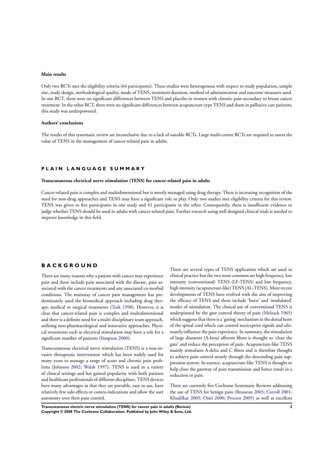#### **Main results**

Only two RCTs met the eligibility criteria (64 participants). These studies were heterogenous with respect to study population, sample size, study design, methodological quality, mode of TENS, treatment duration, method of administration and outcome measures used. In one RCT, there were no significant differences between TENS and placebo in women with chronic pain secondary to breast cancer treatment. In the other RCT, there were no significant differences between acupuncture-type TENS and sham in palliative care patients; this study was underpowered.

#### **Authors' conclusions**

The results of this systematic review are inconclusive due to a lack of suitable RCTs. Large multi-centre RCTs are required to assess the value of TENS in the management of cancer-related pain in adults.

## **P L A I N L A N G U A G E S U M M A R Y**

#### **Transcutaneous electrical nerve stimulation (TENS) for cancer-related pain in adults**

Cancer-related pain is complex and multidimensional but is mostly managed using drug therapy. There is increasing recognition of the need for non-drug approaches and TENS may have a significant role to play. Only two studies met eligibility criteria for this review. TENS was given to five participants in one study and 41 participants in the other. Consequently, there is insufficient evidence to judge whether TENS should be used in adults with cancer-related pain. Further research using well designed clinical trials is needed to improve knowledge in this field.

## **B A C K G R O U N D**

There are many reasons why a patient with cancer may experience pain and these include pain associated with the disease, pain associated with the cancer treatments and any associated co-morbid conditions. The mainstay of cancer pain management has predominantly used the biomedical approach including drug therapy, medical or surgical treatments ([Turk 1998](#page-7-0)). However, it is clear that cancer-related pain is complex and multidimensional and there is a definite need for a multi-disciplinary team approach, utilising non-pharmacological and innovative approaches. Physical treatments such as electrical stimulation may have a role for a significant number of patients [\(Simpson 2000\)](#page-7-0).

Transcutaneous electrical nerve stimulation (TENS) is a non-invasive therapeutic intervention which has been widely used for many years to manage a range of acute and chronic pain problems [\(Johnson 2002;](#page-7-0) [Walsh 1997](#page-7-0)). TENS is used in a variety of clinical settings and has gained popularity with both patients and healthcare professionals of different disciplines. TENS devices have many advantages in that they are portable, easy to use, have relatively few side-effects or contra-indications and allow the user autonomy over their pain control.

There are several types of TENS application which are used in clinical practice but the two most common are high frequency, low intensity (conventional) TENS (LF-TENS) and low frequency, high intensity (acupuncture-like) TENS (AL-TENS). More recent developments of TENS have evolved with the aim of improving the efficacy of TENS and these include 'burst' and 'modulated' modes of stimulation. The clinical use of conventional TENS is underpinned by the gate control theory of pain ([Melzack 1965](#page-7-0)) which suggests that there is a 'gating' mechanism in the dorsal horn of the spinal cord which can control nociceptive signals and ultimately influence the pain experience. In summary, the stimulation of large diameter (A-beta) afferent fibres is thought to 'close the gate' and reduce the perception of pain. Acupuncture-like TENS mainly stimulates A-delta and C fibres and is therefore thought to achieve pain control mostly through the descending pain suppression system. In essence, acupuncture-like TENS is thought to help close the gateway of pain transmission and hence result in a reduction in pain.

There are currently five Cochrane Systematic Reviews addressing the use of TENS for benign pain [\(Brosseau 2003;](#page-7-0) [Carroll 2001;](#page-7-0) [Khadilkar 2005;](#page-7-0) [Osiri 2000](#page-7-0); [Proctor 2005](#page-7-0)) as well as excellent

**Transcutaneous electric nerve stimulation (TENS) for cancer pain in adults (Review) 2 Copyright © 2008 The Cochrane Collaboration. Published by John Wiley & Sons, Ltd.**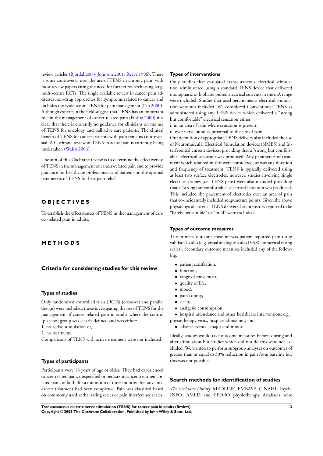review articles ([Bjordal 2003](#page-7-0); [Johnson 2001](#page-7-0); [Reeve 1996](#page-7-0)). There is some controversy over the use of TENS in chronic pain, with most review papers citing the need for further research using large multi-centre RCTs. The single available review in cancer pain addresses non-drug approaches for symptoms related to cancer and includes the evidence on TENS for pain management ([Pan 2000](#page-7-0)). Although experts in the field suggest that TENS has an important role in the management of cancer-related pain ([Filshie 2000\)](#page-7-0) it is clear that there is currently no guidance for clinicians on the use of TENS for oncology and palliative care patients. The clinical benefit of TENS for cancer patients with pain remains controversial. A Cochrane review of TENS in acute pain is currently being undertaken ([Walsh 2006](#page-7-0)).

The aim of this Cochrane review is to determine the effectiveness of TENS in the management of cancer-related pain and to provide guidance for healthcare professionals and patients on the optimal parameters of TENS for best pain relief.

## **O B J E C T I V E S**

To establish the effectiveness of TENS in the management of cancer-related pain in adults.

## **M E T H O D S**

#### **Criteria for considering studies for this review**

#### **Types of studies**

Only randomised controlled trials (RCTs) (crossover and parallel design) were included; those investigating the use of TENS for the management of cancer-related pain in adults where the control (placebo) group was clearly defined and was either:

- 1. no active stimulation or,
- 2. no treatment.

Comparisons of TENS with active treatment were not included.

#### **Types of participants**

Participants were 18 years of age or older. They had experienced cancer-related pain, unspecified or persistent cancer treatment-related pain, or both, for a minimum of three months after any anticancer treatment had been completed. Pain was classified based on commonly used verbal rating scales or pain interference scales.

#### **Types of interventions**

Only studies that evaluated transcutaneous electrical stimulation administered using a standard TENS device that delivered monophasic or biphasic pulsed electrical currents in the mA range were included. Studies that used percutaneous electrical stimulation were not included. We considered Conventional TENS as administered using any TENS device which delivered a "strong but comfortable" electrical sensation either:

i. in an area of pain where sensation is present,

ii. over nerve bundles proximal to the site of pain.

Our definition of appropriate TENS delivery also included the use of Neuromuscular Electrical Stimulation devices (NMES) and Interferential current devices, providing that a "strong but comfortable" electrical sensation was produced. Any parameters of treatment which resulted in this were considered, as was any duration and frequency of treatment. TENS is typically delivered using at least two surface electrodes; however, studies involving single electrical probes (i.e. TENS pens) were also included providing that a "strong but comfortable" electrical sensation was produced. This included the placement of electrodes over an area of pain that co-incidentally included acupuncture points. Given the above physiological criteria, TENS delivered at intensities reported to be "barely perceptible" or "mild" were excluded.

#### **Types of outcome measures**

The primary outcome measure was patient reported pain using validated scales (e.g. visual analogue scales (VAS), numerical rating scales). Secondary outcome measures included any of the following:

- patient satisfaction,
- function,
- range of movement,
- quality of life,
- mood,
- pain coping,
- sleep,
- analgesic consumption,
- hospital attendance and other healthcare interventions e.g.
- physiotherapy visits, hospice admissions, and
	- adverse events major and minor.

Ideally, studies would take outcome measures before, during and after stimulation but studies which did not do this were not excluded. We wanted to perform subgroup analyses on outcomes of greater than or equal to 30% reduction in pain from baseline but this was not possible.

## **Search methods for identification of studies**

*The Cochrane Library*, MEDLINE, EMBASE, CINAHL, Psych-INFO, AMED and PEDRO physiotherapy databases were

**Transcutaneous electric nerve stimulation (TENS) for cancer pain in adults (Review) 3 Copyright © 2008 The Cochrane Collaboration. Published by John Wiley & Sons, Ltd.**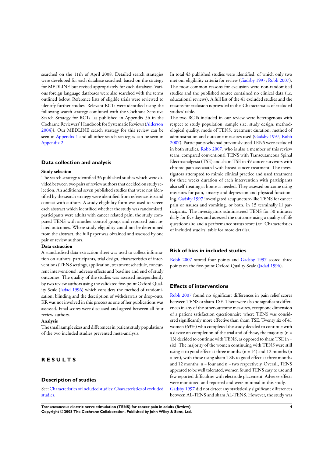searched on the 11th of April 2008. Detailed search strategies were developed for each database searched, based on the strategy for MEDLINE but revised appropriately for each database. Various foreign language databases were also searched with the terms outlined below. Reference lists of eligible trials were reviewed to identify further studies. Relevant RCTs were identified using the following search strategy combined with the Cochrane Sensitive Search Strategy for RCTs {as published in Appendix 5b in the Cochrane Reviewers' Handbook for Systematic Reviews ([Alderson](#page-7-0) [2004](#page-7-0))}. Our MEDLINE search strategy for this review can be seen in [Appendix 1](#page-15-0) and all other search strategies can be seen in [Appendix 2.](#page-16-0)

#### **Data collection and analysis**

#### **Study selection**

The search strategy identified 36 published studies which were divided between two pairs of review authors that decided on study selection. An additional seven published studies that were not identified by the search strategy were identified from reference lists and contact with authors. A study eligibility form was used to screen each abstract which identified whether the study was randomised, participants were adults with cancer related pain, the study compared TENS with another control group, and reported pain related outcomes. Where study eligibility could not be determined from the abstract, the full paper was obtained and assessed by one pair of review authors.

## **Data extraction**

A standardised data extraction sheet was used to collect information on authors, participants, trial design, characteristics of interventions (TENS settings, application, treatment schedule, concurrent interventions), adverse effects and baseline and end of study outcomes. The quality of the studies was assessed independently by two review authors using the validated five-point Oxford Quality Scale [\(Jadad 1996](#page-7-0)) which considers the method of randomisation, blinding and the description of withdrawals or drop-outs. KR was not involved in this process as one of her publications was assessed. Final scores were discussed and agreed between all four review authors.

#### **Analysis**

The small sample sizes and differences in patient study populations of the two included studies prevented meta-analysis.

#### **R E S U L T S**

#### **Description of studies**

See:[Characteristics of included studies;](#page-10-0)[Characteristics of excluded](#page-12-0) [studies.](#page-12-0)

In total 43 published studies were identified, of which only two met our eligibility criteria for review [\(Gadsby 1997](#page-7-0); [Robb 2007](#page-7-0)). The most common reasons for exclusion were non-randomised studies and the published source contained no clinical data (i.e. educational reviews). A full list of the 41 excluded studies and the reasons for exclusion is provided in the 'Characteristics of excluded studies' table.

The two RCTs included in our review were heterogenous with respect to study population, sample size, study design, methodological quality, mode of TENS, treatment duration, method of administration and outcome measures used [\(Gadsby 1997;](#page-7-0) [Robb](#page-7-0) [2007](#page-7-0)). Participants who had previously used TENS were excluded in both studies. [Robb 2007](#page-7-0), who is also a member of this review team, compared conventional TENS with Transcutaneous Spinal Electroanalgesia (TSE) and sham TSE in 49 cancer survivors with chronic pain associated with breast cancer treatment. The investigators attempted to mimic clinical practice and used treatment for three weeks duration of each intervention with participants also self-treating at home as needed. They assessed outcome using measures for pain, anxiety and depression and physical functioning. [Gadsby 1997](#page-7-0) investigated acupuncture-like TENS for cancer pain or nausea and vomiting, or both, in 15 terminally ill participants. The investigators administered TENS for 30 minutes daily for five days and assessed the outcome using a quality of life questionnaire and a performance status score (*see* 'Characteristics of included studies' table for more details).

#### **Risk of bias in included studies**

[Robb 2007](#page-7-0) scored four points and [Gadsby 1997](#page-7-0) scored three points on the five-point Oxford Quality Scale ([Jadad 1996](#page-7-0)).

#### **Effects of interventions**

[Robb 2007](#page-7-0) found no significant differences in pain relief scores between TENS or sham TSE. There were also no significant differences in any of the other outcome measures, except one dimension of a patient satisfaction questionnaire where TENS was considered significantly more effective than sham TSE. Twenty six of 41 women (63%) who completed the study decided to continue with a device on completion of the trial and of these, the majority (n = 13) decided to continue with TENS, as opposed to sham TSE (n = six). The majority of the women continuing with TENS were still using it to good effect at three months  $(n = 14)$  and 12 months  $(n = 14)$ = ten), with those using sham TSE to good effect at three months and  $12$  months,  $n = four$  and  $n = two$  respectively. Overall, TENS appeared to be well tolerated, women found TENS easy to use and few reported difficulties with electrode placement. Adverse effects were monitored and reported and were minimal in this study. [Gadsby 1997](#page-7-0) did not detect any statistically significant differences

between AL-TENS and sham AL-TENS. However, the study was

**Transcutaneous electric nerve stimulation (TENS) for cancer pain in adults (Review) 4 Copyright © 2008 The Cochrane Collaboration. Published by John Wiley & Sons, Ltd.**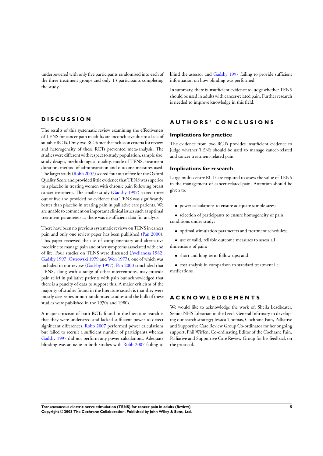underpowered with only five participants randomised into each of the three treatment groups and only 13 participants completing the study.

## **D I S C U S S I O N**

The results of this systematic review examining the effectiveness of TENS for cancer pain in adults are inconclusive due to a lack of suitable RCTs. Only two RCTs met the inclusion criteria for review and heterogeneity of these RCTs prevented meta-analysis. The studies were different with respect to study population, sample size, study design, methodological quality, mode of TENS, treatment duration, method of administration and outcome measures used. The larger study [\(Robb 2007\)](#page-7-0) scored four out of five for the Oxford Quality Score and provided little evidence that TENS was superior to a placebo in treating women with chronic pain following breast cancer treatment. The smaller study [\(Gadsby 1997\)](#page-7-0) scored three out of five and provided no evidence that TENS was significantly better than placebo in treating pain in palliative care patients. We are unable to comment on important clinical issues such as optimal treatment parameters as there was insufficient data for analysis.

There have been no previous systematic reviews on TENS in cancer pain and only one review paper has been published [\(Pan 2000](#page-7-0)). This paper reviewed the use of complementary and alternative medicine to manage pain and other symptoms associated with end of life. Four studies on TENS were discussed ([Avellanosa 1982;](#page-7-0) [Gadsby 1997](#page-7-0); [Ostrowski 1979](#page-7-0) and [Wen 1977\)](#page-7-0), one of which was included in our review ([Gadsby 1997](#page-7-0)). [Pan 2000](#page-7-0) concluded that TENS, along with a range of other interventions, may provide pain relief in palliative patients with pain but acknowledged that there is a paucity of data to support this. A major criticism of the majority of studies found in the literature search is that they were mostly case-series or non-randomised studies and the bulk of these studies were published in the 1970s and 1980s.

A major criticism of both RCTs found in the literature search is that they were undersized and lacked sufficient power to detect significant differences. [Robb 2007](#page-7-0) performed power calculations but failed to recruit a sufficient number of participants whereas [Gadsby 1997](#page-7-0) did not perform any power calculations. Adequate blinding was an issue in both studies with [Robb 2007](#page-7-0) failing to blind the assessor and [Gadsby 1997](#page-7-0) failing to provide sufficient information on how blinding was performed.

In summary, there is insufficient evidence to judge whether TENS should be used in adults with cancer-related pain. Further research is needed to improve knowledge in this field.

## **A U T H O R S ' C O N C L U S I O N S**

#### **Implications for practice**

The evidence from two RCTs provides insufficient evidence to judge whether TENS should be used to manage cancer-related and cancer treatment-related pain.

#### **Implications for research**

Large multi-centre RCTs are required to assess the value of TENS in the management of cancer-related pain. Attention should be given to:

- power calculations to ensure adequate sample sizes;
- selection of participants to ensure homogeneity of pain conditions under study;
	- optimal stimulation parameters and treatment schedules;

• use of valid, reliable outcome measures to assess all dimensions of pain;

• short and long-term follow-ups; and

• cost analysis in comparison to standard treatment i.e. medications.

#### **A C K N O W L E D G E M E N T S**

We would like to acknowledge the work of: Sheila Leadbeater, Senior NHS Librarian in the Leeds General Infirmary in developing our search strategy; Jessica Thomas, Cochrane Pain, Palliative and Supportive Care Review Group Co-ordinator for her ongoing support; Phil Wiffen, Co-ordinating Editor of the Cochrane Pain, Palliative and Supportive Care Review Group for his feedback on the protocol.

**Transcutaneous electric nerve stimulation (TENS) for cancer pain in adults (Review) 5 Copyright © 2008 The Cochrane Collaboration. Published by John Wiley & Sons, Ltd.**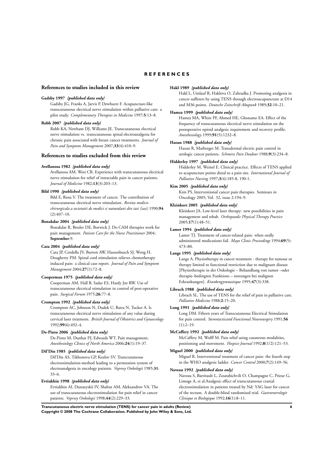#### **R E F E R E N C E S**

#### <span id="page-7-0"></span>**References to studies included in this review**

#### **Gadsby 1997** *{published data only}*

Gadsby JG, Franks A, Jarvis P, Dewhurst F. Acupuncture-like transcutaneous electrical nerve stimulation within palliative care: a pilot study. *Complementary Therapies in Medicine* 1997;**5**:13–8.

#### **Robb 2007** *{published data only}*

Robb KA, Newham DJ, Williams JE. Transcutaneous electrical nerve stimulation vs. transcutaneous spinal electroanalgesia for chronic pain associated with breast cancer treatments. *Journal of Pain and Symptom Management* 2007;**33**(4):410–9.

#### **References to studies excluded from this review**

#### **Avellanosa 1982** *{published data only}*

Avellanosa AM, West CR. Experience with transcutaneous electrical nerve stimulation for relief of intractable pain in cancer patients. *Journal of Medicine* 1982;**13**(3):203–13.

#### **Bild 1990** *{published data only}*

Bild E, Rosu V. The treatment of cancer. The contribution of transcutaneous electrical nerve stimulation. *Revista medicochirurgicala a societatii de medici si naturalasti din iasi (iasi)* 1990;**94**  $(2):407-10.$ 

#### **Bonakdar 2004** *{published data only}*

Bonakdar R, Bresler DE, Borwick J. Do CAM therapies work for pain management. *Patient Care for the Nurse Practitioner* 2004; **September**:9.

#### **Cata 2004** *{published data only}*

Cata JP, Cordella JV, Burton AW, Hassenbusch SJ, Weng H, Dougherty PM. Spinal cord stimulation relieves chemotherapy induced pain: a clinical case report. *Journal of Pain and Symptom Management* 2004;**27**(1):72–8.

#### **Cooperman 1975** *{published data only}*

Cooperman AM, Hall B, Sadar ES, Hardy Jnr RW. Use of transcutaneous electrical stimulation in control of post-operative pain. *Surgical Forum* 1975;**26**:77–8.

#### **Crompton 1992** *{published data only}*

Crompton AC, Johnson N, Dudek U, Batra N, Tucker A. Is transcutaneous electrical nerve stimulation of any value during cervical laser treatment. *British Journal of Obstetrics and Gynaecology* 1992;**99**(6):492–4.

#### **De-Pinto 2006** *{published data only}*

De-Pinto M, Dunbar PJ, Edwards WT. Pain management. *Anesthesiology Clinics of North America* 2006;**24**(1):19–37.

#### **Dil'Din 1985** *{published data only}*

Dil'Din AS, Tikhonova GP, Kozlov SV. Transcutaneous electrostimulation-method leading to a permeation system of electroanalgesia in oncology patients. *Voprosy Onkologii* 1985;**31**: 33–6.

#### **Evtiukhin 1998** *{published data only}*

Evtiukhin AI, Dunaeyskii IV, Shabut AM, Aleksandrov VA. The use of transcutaneous electrostimulation for pain relief in cancer patients. *Voprosy Onkologii* 1998;**44**(2):229–33.

#### **Hakl 1989** *{published data only}*

Hakl L, Umlauf R, Haklova O, Zahradka J. Promoting analgesia in cancer sufferers by using TENS through electroacupuncture at D14 and M36 points. *Deutsche Zeitschrift Akupunk* 1989;**32**:10–21.

#### **Hamza 1999** *{published data only}*

Hamza MA, White PF, Ahmed HE, Ghoname EA. Effect of the frequency of transcutaneous electrical nerve stimulation on the postoperative opioid analgesic requirement and recovery profile. *Anesthesiology* 1999;**91**(5):1232–8.

#### **Hasun 1988** *{published data only}*

Hasun R, Marberger M. Transdermal electric pain control in urologic cancer patients. *Schmerz Pain Douleur* 1988;**9**(3):234–8.

#### **Hidderley 1997** *{published data only}*

Hidderley M, Weinel E. Clinical practice. Effects of TENS applied to acupuncture points distal to a pain site. *International Journal of Palliative Nursing* 1997;**3**(4):185-8, 190-1.

#### **Kim 2005** *{published data only}*

Kim PS. Interventional cancer pain therapies. Seminars in Oncology 2005; Vol. 32, issue 2:194–9.

#### **Kleinkort 2005** *{published data only}*

Kleinkort JA. Low-level laser therapy: new possibilities in pain management and rehab. *Orthopaedic Physical Therapy Practice* 2005;**17**(1):48–51.

#### **Lamer 1994** *{published data only}*

Lamer TJ. Treatment of cancer-related pain: when orally administered medications fail. *Mayo Clinic Proceedings* 1994;**69**(5): 473–80.

#### **Lange 1995** *{published data only}*

Lange A. Physiotherapy in cancer treatment - therapy for tumour or therapy limited to functional restriction due to malignant disease [Physiotherapie in der Onkologie – Behandlung von tumor –oder therapie–bedingten Funktions – storungen bei malignen Erkrankungen]. *Krankengymnastique* 1995;**47**(3):338.

#### **Librach 1988** *{published data only}*

Librach SL. The use of TENS for the relief of pain in palliative care. *Palliative Medicine* 1988;**2**:15–20.

#### **Long 1991** *{published data only}*

Long DM. Fifteen years of Transcutaneous Electrical Stimulation for pain control. *Stereotacticand Functional Neurosurgery* 1991;**56**  $(1):2-19.$ 

#### **McCaffery 1992** *{published data only}*

McCaffery M, Wolff M. Pain relief using cutaneous modalities, positioning and movement. *Hospice Journal* 1992;**8**(1/2):121–53.

#### **Miguel 2000** *{published data only}*

Miguel R. Interventional treatment of cancer pain: the fourth step in the WHO analgesic ladder. *Cancer Control* 2000;**7**(2):149–56.

#### **Naveau 1992** *{published data only}*

Naveau S, Barritault L, Zourabichvili O, Champagne C, Prieur G, Limoge A, et al.Analgesic effect of transcutaneous cranial electrostimulation in patients treated by Nd: YAG laser for cancer of the rectum. A double-blind randomised trial. *Gastroenerologie Clinique et Biologique* 1992;**16**(1):8–11.

**Transcutaneous electric nerve stimulation (TENS) for cancer pain in adults (Review) 6 Copyright © 2008 The Cochrane Collaboration. Published by John Wiley & Sons, Ltd.**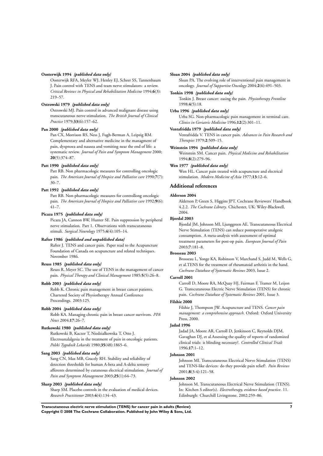#### **Oosterwijk 1994** *{published data only}*

Oosterwijk RFA, Meyler WJ, Henley EJ, Scheer SS, Tannenbaum J. Pain control with TENS and team nerve stimulators: a review. *Critical Reviews in Physical and Rehabilitation Medicine* 1994;**6**(3): 219–57.

#### **Ostrowski 1979** *{published data only}*

Ostrowski MJ. Pain control in advanced malignant disease using transcutaneous nerve stimulation. *The British Journal of Clinical Practice* 1979;**33**(6):157–62.

#### **Pan 2000** *{published data only}*

Pan CX, Morrison RS, Ness J, Fugh-Berman A, Leipzig RM. Complementary and alternative medicine in the managment of pain, dyspnoea and nausea and vomiting near the end of life: a systematic review. *Journal of Pain and Symptom Management* 2000; **20**(5):374–87.

#### **Patt 1990** *{published data only}*

Patt RB. Non pharmacologic measures for controlling oncologic pain. *The American Journal of Hospice and Palliative care* 1990;**7**(7):  $30 - 7$ 

#### **Patt 1992** *{published data only}*

Patt RB. Non-pharmacologic measures for controllong oncologic pain. *The American Journal of Hospice and Palliative care* 1992;**9**(6):  $41 - 7$ 

#### **Picaza 1975** *{published data only}*

Picaza JA, Cannon BW, Hunter SE. Pain suppression by peripheral nerve stimulation. Part 1. Observations with transcutaneous stimuli. *Surgical Neurology* 1975;**4**(4):105–14.

#### **Rafter 1986** *{published and unpublished data}*

Rafter J. TENS and cancer pain. Paper read to the Acupuncture Foundation of Canada on acupuncture and related techniques. November 1986.

#### **Reuss 1985** *{published data only}*

Reuss R, Meyer SC. The use of TENS in the management of cancer pain. *Physical Therapy and Clinical Management* 1985;**5**(5):26–8.

#### **Robb 2003** *{published data only}*

Robb K. Chronic pain management in breast cancer patients. Chartered Society of Physiotherapy Annual Conference Proceedings. 2003:125.

#### **Robb 2004** *{published data only}*

Robb KA. Managing chronic pain in breast cancer survivors. *PPA News* 2004;**17**:26–7.

#### **Rutkowski 1980** *{published data only}*

Rutkowski B, Kaczor T, Niedzialkowska T, Otto J. Electroanalalgesia in the treatment of pain in oncologic patients. *Polski Tygodnik Lekarski* 1980;**35**(48):1865–6.

#### **Sang 2003** *{published data only}*

Sang CN, Max MB, Gracely RH. Stability and reliability of detection thresholds for human A-beta and A-delta sensory afferents determined by cutaneous electrical stimulation. *Journal of Pain and Symptom Management* 2003;**25**(1):64–73.

#### **Sharp 2003** *{published data only}*

Sharp SM. Placebo controls in the evaluation of medical devices. *Research Practitioner* 2003;**4**(4):134–43.

#### **Sloan 2004** *{published data only}*

Sloan PA. The evolving role of interventional pain management in oncology. *Journal of Supportive Oncology* 2004;**2**(6):491–503.

#### **Tonkin 1998** *{published data only}*

Tonkin J. Breast cancer: easing the pain. *Physiotherapy Frontline* 1998;**4**(5):18.

#### **Urba 1996** *{published data only}*

Urba SG. Non-pharmacologic pain management in terminal care. *Clinics in Geriatric Medicine* 1996;**12**(2):301–11.

#### **Ventafridda 1979** *{published data only}*

Ventafridda V. TENS in cancer pain. *Advances in Pain Research and Therapies* 1979;**2**:509–15.

#### **Weinstein 1994** *{published data only}*

Weinstein SM. Cancer pain. *Physical Medicine and Rehabilitation* 1994;**8**(2):279–96.

#### **Wen 1977** *{published data only}*

Wen HL. Cancer pain treated with acupuncture and electrical stimulation. *Modern Medicine of Asia* 1977;**13**:12–6.

## **Additional references**

#### **Alderson 2004**

Alderson P, Green S, Higgins JPT. Cochrane Reviewers' Handbook 4.2.2. *The Cochrane Library*. Chichester, UK: Wiley-Blackwell, 2004.

#### **Bjordal 2003**

Bjordal JM, Johnson MI, Ljunggreen AE. Transcutaneous Electrical Nerve Stimulation (TENS) can reduce postoperative analgesic consumption. A meta-analysis with assessment of optimal treatment parameters for post-op pain. *European Journal of Pain* 2003;**7**:181–8.

#### **Brosseau 2003**

Brosseau L, Yonge KA, Robinson V, Marchand S, Judd M, Wells G, et al.TENS for the treatment of rheumatoid arthritis in the hand. *Cochrane Database of Systematic Reviews* 2003, Issue 2.

#### **Carroll 2001**

Carroll D, Moore RA, McQuay HJ, Fairman F, Tramer M, Leijon G. Transcutaneous Electric Nerve Stimulation (TENS) for chronic pain. *Cochrane Database of Systematic Reviews* 2001, Issue 3.

#### **Filshie 2000**

Filshie J, Thompson JW. Acupuncture and TENS. *Cancer pain management: a comprehensive approach*. Oxford: Oxford University Press, 2000.

#### **Jadad 1996**

Jadad JA, Moore AR, Carroll D, Jenkinson C, Reynolds DJM, Gavaghan DJ, et al.Assessing the quality of reports of randomized clinical trials: is blinding necessary?. *Controlled Clinical Trials* 1996;**17**:1–12.

#### **Johnson 2001**

Johnson MI. Transcutaneous Electrical Nerve Stimulation (TENS) and TENS-like devices: do they provide pain relief?. *Pain Reviews* 2001;**8**(3-4):121–58.

#### **Johnson 2002**

Johnson M. Transcutaneous Electrical Nerve Stimulation (TENS). In: Kitchen S editor(s). *Electrotherapy, evidence based practice*. 11. Edinburgh: Churchill Livingstone, 2002:259–86.

**Transcutaneous electric nerve stimulation (TENS) for cancer pain in adults (Review) 7 Copyright © 2008 The Cochrane Collaboration. Published by John Wiley & Sons, Ltd.**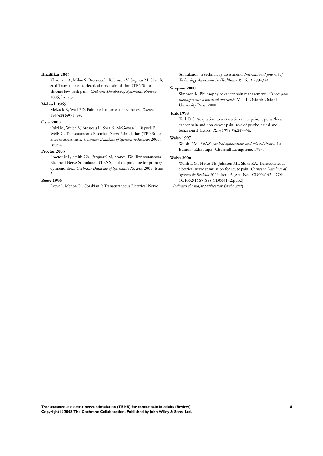#### **Khadilkar 2005**

Khadilkar A, Milne S, Brosseau L, Robinson V, Saginur M, Shea B, et al.Transcutaneous electrical nerve stimulation (TENS) for chronic low-back pain. *Cochrane Database of Systematic Reviews* 2005, Issue 3.

#### **Melzack 1965**

Melzack R, Wall PD. Pain mechanisms: a new theory. *Science* 1965;**150**:971–99.

#### **Osiri 2000**

Osiri M, Welch V, Brosseau L, Shea B, McGowan J, Tugwell P, Wells G. Transcutaneous Electrical Nerve Stimulation (TENS) for knee osteoarthritis. *Cochrane Database of Systematic Reviews* 2000, Issue 4.

#### **Proctor 2005**

Proctor ML, Smith CA, Farquar CM, Stones RW. Transcutaneous Electrical Nerve Stimulation (TENS) and acupuncture for primary dysmenorrhea. *Cochrane Database of Systematic Reviews* 2005, Issue  $\overline{2}$ 

#### **Reeve 1996**

Reeve J, Menon D, Corabian P. Transcutaneous Electrical Nerve

Stimulation: a technology assessment. *International Journal of Technology Assessment in Healthcare* 1996;**12**:299–324.

#### **Simpson 2000**

Simpson K. Philosophy of cancer pain management. *Cancer pain management: a practical approach*. Vol. **1**, Oxford: Oxford University Press, 2000.

#### **Turk 1998**

Turk DC. Adaptation to metastatic cancer pain, regional/local cancer pain and non cancer pain: role of psychological and behavioural factors. *Pain* 1998;**74**:247–56.

#### **Walsh 1997**

Walsh DM. *TENS: clinical applications and related theory*. 1st Edition. Edinburgh: Churchill Livingstone, 1997.

#### **Walsh 2006**

Walsh DM, Howe TE, Johnson MI, Sluka KA. Transcutaneous electrical nerve stimulation for acute pain. *Cochrane Database of Systematic Reviews* 2006, Issue 3.[Art. No.: CD006142. DOI: 10.1002/14651858.CD006142.pub2]

∗ *Indicates the major publication for the study*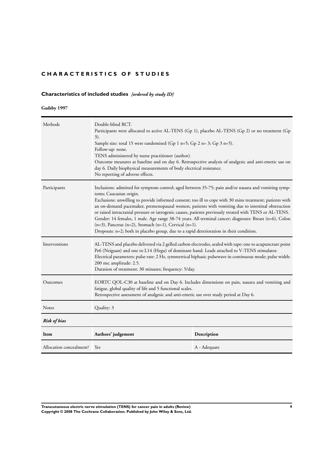## <span id="page-10-0"></span>**CHARACTERISTICS OF STUDIES**

## **Characteristics of included studies** *[ordered by study ID]*

**Gadsby 1997**

| Methods                     | Double-blind RCT.<br>3).<br>Sample size: total 15 were randomised (Gp 1 n=5; Gp 2 n= 3; Gp 3 n=5).<br>Follow-up: none.<br>TENS administered by nurse practitioner (author).<br>day 6. Daily biophysical measurements of body electrical resistance.<br>No reporting of adverse effects.                                                                                                                                                                                                                                                                                                                                                                                                                                             | Participants were allocated to active AL-TENS (Gp 1), placebo AL-TENS (Gp 2) or no treatment (Gp<br>Outcome measures at baseline and on day 6. Retrospective analysis of analgesic and anti-emetic use on |
|-----------------------------|-------------------------------------------------------------------------------------------------------------------------------------------------------------------------------------------------------------------------------------------------------------------------------------------------------------------------------------------------------------------------------------------------------------------------------------------------------------------------------------------------------------------------------------------------------------------------------------------------------------------------------------------------------------------------------------------------------------------------------------|-----------------------------------------------------------------------------------------------------------------------------------------------------------------------------------------------------------|
| Participants                | Inclusions: admitted for symptom control; aged between 35-75; pain and/or nausea and vomiting symp-<br>toms; Caucasian origin.<br>Exclusions: unwilling to provide informed consent; too ill to cope with 30 mins treatment; patients with<br>an on-demand pacemaker, premenopausal women, patients with vomiting due to intestinal obstruction<br>or raised intracranial pressure or iatrogenic causes, patients previously treated with TENS or AL-TENS.<br>Gender: 14 females, 1 male. Age range 38-74 years. All terminal cancer; diagnoses: Breast (n=6), Colon<br>$(n=3)$ , Pancreas $(n=2)$ , Stomach $(n=1)$ , Cervical $(n=1)$ .<br>Dropouts: n=2; both in placebo group, due to a rapid deterioration in their condition. |                                                                                                                                                                                                           |
| Interventions               | AL-TENS and placebo delivered via 2 gelled carbon electrodes, sealed with tape: one to acupuncture point<br>Pe6 (Neiguan) and one to L14 (Hegu) of dominant hand. Leads attached to V-TENS stimulator.<br>Electrical parameters: pulse rate: 2 Hz, symmetrical biphasic pulsewave in continuous mode; pulse width:<br>200 ms; amplitude: 2.5.<br>Duration of treatment: 30 minutes; frequency: 5/day.                                                                                                                                                                                                                                                                                                                               |                                                                                                                                                                                                           |
| Outcomes                    | EORTC QOL-C30 at baseline and on Day 6. Includes dimensions on pain, nausea and vomiting and<br>fatigue, global quality of life and 5 functional scales.<br>Retrospective assessment of analgesic and anti-emetic use over study period at Day 6.                                                                                                                                                                                                                                                                                                                                                                                                                                                                                   |                                                                                                                                                                                                           |
| <b>Notes</b>                | Quality: 3                                                                                                                                                                                                                                                                                                                                                                                                                                                                                                                                                                                                                                                                                                                          |                                                                                                                                                                                                           |
| <b>Risk of bias</b>         |                                                                                                                                                                                                                                                                                                                                                                                                                                                                                                                                                                                                                                                                                                                                     |                                                                                                                                                                                                           |
| Item                        | Authors' judgement                                                                                                                                                                                                                                                                                                                                                                                                                                                                                                                                                                                                                                                                                                                  | Description                                                                                                                                                                                               |
| Allocation concealment? Yes |                                                                                                                                                                                                                                                                                                                                                                                                                                                                                                                                                                                                                                                                                                                                     | A - Adequate                                                                                                                                                                                              |

**Transcutaneous electric nerve stimulation (TENS) for cancer pain in adults (Review) 9 Copyright © 2008 The Cochrane Collaboration. Published by John Wiley & Sons, Ltd.**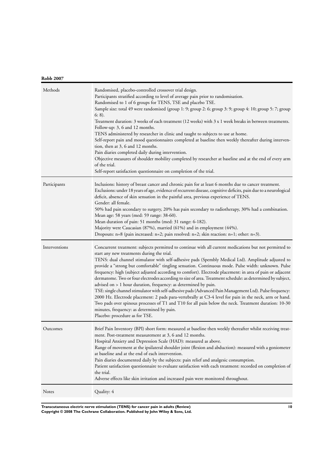## **Robb 2007**

| Methods       | Randomised, placebo-controlled crossover trial design.<br>Participants stratified according to level of average pain prior to randomisation.<br>Randomised to 1 of 6 groups for TENS, TSE and placebo TSE.<br>Sample size: total 49 were randomised (group 1: 9; group 2: 6; group 3: 9; group 4: 10; group 5: 7; group<br>$6: 8$ ).<br>Treatment duration: 3 weeks of each treatment $(12 \text{ weeks})$ with $3 \times 1$ week breaks in between treatments.<br>Follow-up: 3, 6 and 12 months.<br>TENS administered by researcher in clinic and taught to subjects to use at home.<br>Self-report pain and mood questionnaires completed at baseline then weekly thereafter during interven-<br>tion, then at 3, 6 and 12 months.<br>Pain diaries completed daily during intervention.<br>Objective measures of shoulder mobility completed by researcher at baseline and at the end of every arm<br>of the trial.<br>Self-report satisfaction questionnaire on completion of the trial.                                                                                  |
|---------------|------------------------------------------------------------------------------------------------------------------------------------------------------------------------------------------------------------------------------------------------------------------------------------------------------------------------------------------------------------------------------------------------------------------------------------------------------------------------------------------------------------------------------------------------------------------------------------------------------------------------------------------------------------------------------------------------------------------------------------------------------------------------------------------------------------------------------------------------------------------------------------------------------------------------------------------------------------------------------------------------------------------------------------------------------------------------------|
| Participants  | Inclusions: history of breast cancer and chronic pain for at least 6 months due to cancer treatment.<br>Exclusions: under 18 years of age, evidence of recurrent disease, cognitive deficits, pain due to a neurological<br>deficit, absence of skin sensation in the painful area, previous experience of TENS.<br>Gender: all female.<br>50% had pain secondary to surgery, 20% has pain secondary to radiotherapy, 30% had a combination.<br>Mean age: 58 years (med: 59 range: 38-60).<br>Mean duration of pain: 51 months (med: 31 range: 6-182).<br>Majority were Caucasian (87%), married (61%) and in employment (44%).<br>Dropouts: n=8 (pain increased: n=2; pain resolved: n=2; skin reaction: n=1; other: n=3).                                                                                                                                                                                                                                                                                                                                                  |
| Interventions | Concurrent treatment: subjects permitted to continue with all current medications but not permitted to<br>start any new treatments during the trial.<br>TENS: dual channel stimulator with self-adhesive pads (Spembly Medical Ltd). Amplitude adjusted to<br>provide a "strong but comfortable" tingling sensation. Continuous mode. Pulse width: unknown. Pulse<br>frequency: high (subject adjusted according to comfort). Electrode placement: in area of pain or adjacent<br>dermatome. Two or four electrodes according to size of area. Treatment schedule: as determined by subject,<br>advised on > 1 hour duration, frequency: as determined by pain.<br>TSE: single channel stimulator with self-adhesive pads (Advanced Pain Management Ltd). Pulse frequency:<br>2000 Hz. Electrode placement: 2 pads para-vertebrally at C3-4 level for pain in the neck, arm or hand.<br>Two pads over spinous processes of T1 and T10 for all pain below the neck. Treatment duration: 10-30<br>minutes, frequency: as determined by pain.<br>Placebo: procedure as for TSE. |
| Outcomes      | Brief Pain Inventory (BPI) short form: measured at baseline then weekly thereafter whilst receiving treat-<br>ment. Post-treatment measurement at 3, 6 and 12 months.<br>Hospital Anxiety and Depression Scale (HAD): measured as above.<br>Range of movement at the ipsilateral shoulder joint (flexion and abduction): measured with a goniometer<br>at baseline and at the end of each intervention.<br>Pain diaries documented daily by the subjects: pain relief and analgesic consumption.<br>Patient satisfaction questionnaire to evaluate satisfaction with each treatment: recorded on completion of<br>the trial.<br>Adverse effects like skin irritation and increased pain were monitored throughout.                                                                                                                                                                                                                                                                                                                                                           |
| Notes         | Quality: 4                                                                                                                                                                                                                                                                                                                                                                                                                                                                                                                                                                                                                                                                                                                                                                                                                                                                                                                                                                                                                                                                   |

**Transcutaneous electric nerve stimulation (TENS) for cancer pain in adults (Review) 10 Copyright © 2008 The Cochrane Collaboration. Published by John Wiley & Sons, Ltd.**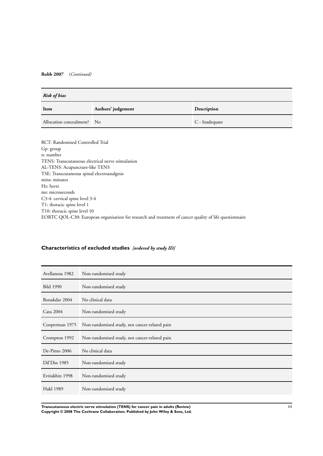#### <span id="page-12-0"></span>**Robb 2007** (*Continued)*

| <b>Risk of bias</b>        |                    |                |
|----------------------------|--------------------|----------------|
| Item                       | Authors' judgement | Description    |
| Allocation concealment? No |                    | C - Inadequate |

RCT: Randomised Controlled Trial Gp: group n: number TENS: Transcutaneous electrical nerve stimulation AL-TENS: Acupuncture-like TENS TSE: Transcutaneous spinal electroanalgesis mins: minutes Hz: hertz ms: microseconds C3-4: cervical spine level 3-4 T1: thoracic spine level 1 T10: thoracic spine level 10 EORTC QOL-C30: European organisation for research and treatment of cancer quality of life questionnaire

# Avellanosa 1982 Non-randomised study Bild 1990 Non-randomised study Bonakdar 2004 No clinical data Cata 2004 Non-randomised study Cooperman 1975 Non-randomised study, not cancer-related pain Crompton 1992 Non-randomised study, not cancer-related pain De-Pinto 2006 No clinical data Dil'Din 1985 Non-randomised study Evtiukhin 1998 Non-randomised study Hakl 1989 Non-randomised study **Transcutaneous electric nerve stimulation (TENS) for cancer pain in adults (Review) 11 Copyright © 2008 The Cochrane Collaboration. Published by John Wiley & Sons, Ltd.**

## **Characteristics of excluded studies** *[ordered by study ID]*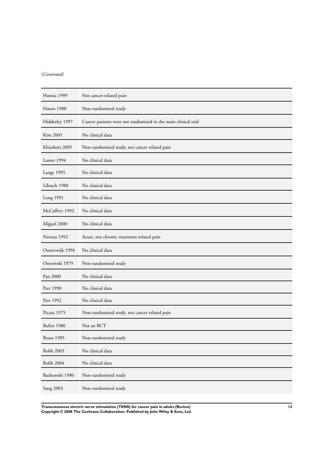| Hamza 1999      | Not cancer-related pain                                        |
|-----------------|----------------------------------------------------------------|
| Hasun 1988      | Non-randomised study                                           |
| Hidderley 1997  | Cancer patients were not randomised in the main clinical trial |
| Kim 2005        | No clinical data                                               |
| Kleinkort 2005  | Non-randomised study, not cancer related pain                  |
| Lamer 1994      | No clinical data                                               |
| Lange 1995      | No clinical data                                               |
| Librach 1988    | No clinical data                                               |
| Long 1991       | No clinical data                                               |
| McCaffery 1992  | No clinical data                                               |
| Miguel 2000     | No clinical data                                               |
| Naveau 1992     | Acute, not chronic treatment-related pain                      |
| Oosterwijk 1994 | No clinical data                                               |
| Ostrowski 1979  | Non-randomised study                                           |
| Pan 2000        | No clinical data                                               |
| Patt 1990       | No clinical data                                               |
| Patt 1992       | No clinical data                                               |
| Picaza 1975     | Non-randomised study, not cancer related pain                  |
| Rafter 1986     | Not an RCT                                                     |
| Reuss 1985      | Non-randomised study                                           |
| Robb 2003       | No clinical data                                               |
| Robb 2004       | No clinical data                                               |
| Rutkowski 1980  | Non-randomised study                                           |
| Sang 2003       | Non-randomised study                                           |

**Transcutaneous electric nerve stimulation (TENS) for cancer pain in adults (Review) 12 Copyright © 2008 The Cochrane Collaboration. Published by John Wiley & Sons, Ltd.**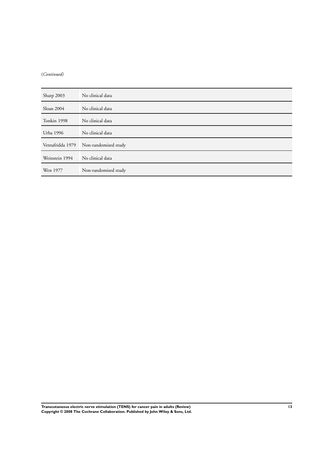| Sharp 2003       | No clinical data     |
|------------------|----------------------|
| Sloan $2004$     | No clinical data     |
| Tonkin 1998      | No clinical data     |
| Urba 1996        | No clinical data     |
| Ventafridda 1979 | Non-randomised study |
| Weinstein 1994   | No clinical data     |
| Wen 1977         | Non-randomised study |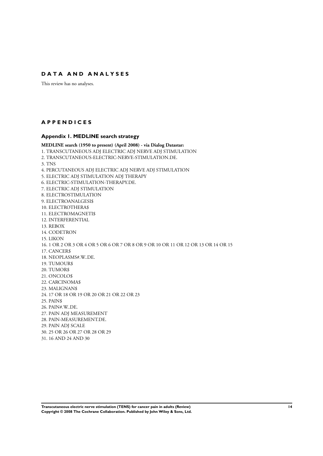## <span id="page-15-0"></span>**D A T A A N D A N A L Y S E S**

This review has no analyses.

## **A P P E N D I C E S**

#### **Appendix 1. MEDLINE search strategy**

**MEDLINE search (1950 to present) (April 2008) - via Dialog Datastar:** 1. TRANSCUTANEOUS ADJ ELECTRIC ADJ NERVE ADJ STIMULATION 2. TRANSCUTANEOUS-ELECTRIC-NERVE-STIMULATION.DE. 3. TNS 4. PERCUTANEOUS ADJ ELECTRIC ADJ NERVE ADJ STIMULATION 5. ELECTRIC ADJ STIMULATION ADJ THERAPY 6. ELECTRIC-STIMULATION-THERAPY.DE. 7. ELECTRIC ADJ STIMULATION 8. ELECTROSTIMULATION 9. ELECTROANALGESI\$ 10. ELECTROTHERA\$ 11. ELECTROMAGNETI\$ 12. INTERFERENTIAL 13. REBOX 14. CODETRON 15. LIKON 16. 1 OR 2 OR 3 OR 4 OR 5 OR 6 OR 7 OR 8 OR 9 OR 10 OR 11 OR 12 OR 13 OR 14 OR 15 17. CANCER\$ 18. NEOPLASMS#.W..DE. 19. TUMOUR\$ 20. TUMOR\$ 21. ONCOLO\$ 22. CARCINOMA\$ 23. MALIGNAN\$ 24. 17 OR 18 OR 19 OR 20 OR 21 OR 22 OR 23 25. PAIN\$ 26. PAIN#.W..DE. 27. PAIN ADJ MEASUREMENT 28. PAIN-MEASUREMENT.DE. 29. PAIN ADJ SCALE 30. 25 OR 26 OR 27 OR 28 OR 29 31. 16 AND 24 AND 30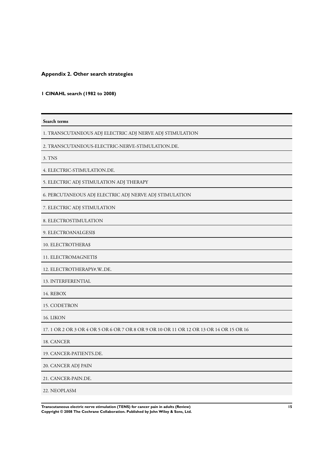## <span id="page-16-0"></span>**Appendix 2. Other search strategies**

## **1 CINAHL search (1982 to 2008)**

**Search terms**

1. TRANSCUTANEOUS ADJ ELECTRIC ADJ NERVE ADJ STIMULATION

2. TRANSCUTANEOUS-ELECTRIC-NERVE-STIMULATION.DE.

3. TNS

4. ELECTRIC-STIMULATION.DE.

5. ELECTRIC ADJ STIMULATION ADJ THERAPY

6. PERCUTANEOUS ADJ ELECTRIC ADJ NERVE ADJ STIMULATION

7. ELECTRIC ADJ STIMULATION

8. ELECTROSTIMULATION

9. ELECTROANALGESI\$

10. ELECTROTHERA\$

11. ELECTROMAGNETI\$

12. ELECTROTHERAPY#.W..DE.

13. INTERFERENTIAL

14. REBOX

15. CODETRON

16. LIKON

17. 1 OR 2 OR 3 OR 4 OR 5 OR 6 OR 7 OR 8 OR 9 OR 10 OR 11 OR 12 OR 13 OR 14 OR 15 OR 16

18. CANCER

19. CANCER-PATIENTS.DE.

20. CANCER ADJ PAIN

21. CANCER-PAIN.DE.

22. NEOPLASM

**Transcutaneous electric nerve stimulation (TENS) for cancer pain in adults (Review) 15 Copyright © 2008 The Cochrane Collaboration. Published by John Wiley & Sons, Ltd.**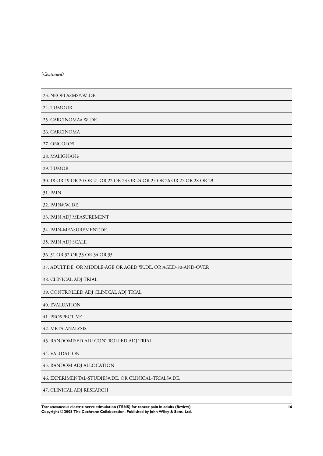23. NEOPLASMS#.W..DE.

24. TUMOUR

25. CARCINOMA#.W..DE.

26. CARCINOMA

27. ONCOLO\$

28. MALIGNAN\$

29. TUMOR

30. 18 OR 19 OR 20 OR 21 OR 22 OR 23 OR 24 OR 25 OR 26 OR 27 OR 28 OR 29

31. PAIN

32. PAIN#.W..DE.

33. PAIN ADJ MEASUREMENT

34. PAIN-MEASUREMENT.DE.

35. PAIN ADJ SCALE

36. 31 OR 32 OR 33 OR 34 OR 35

37. ADULT.DE. OR MIDDLE-AGE OR AGED.W..DE. OR AGED-80-AND-OVER

38. CLINICAL ADJ TRIAL

39. CONTROLLED ADJ CLINICAL ADJ TRIAL

40. EVALUATION

41. PROSPECTIVE

42. META-ANALYSIS

43. RANDOMISED ADJ CONTROLLED ADJ TRIAL

44. VALIDATION

45. RANDOM ADJ ALLOCATION

46. EXPERIMENTAL-STUDIES#.DE. OR CLINICAL-TRIALS#.DE.

47. CLINICAL ADJ RESEARCH

**Transcutaneous electric nerve stimulation (TENS) for cancer pain in adults (Review) 16 Copyright © 2008 The Cochrane Collaboration. Published by John Wiley & Sons, Ltd.**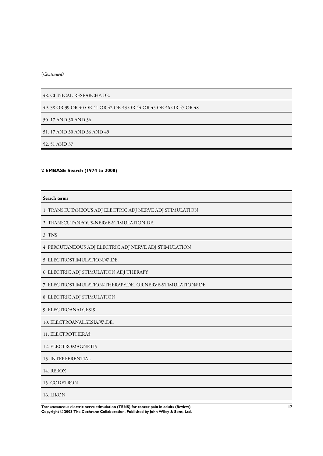#### 48. CLINICAL-RESEARCH#.DE.

49. 38 OR 39 OR 40 OR 41 OR 42 OR 43 OR 44 OR 45 OR 46 OR 47 OR 48

50. 17 AND 30 AND 36

51. 17 AND 30 AND 36 AND 49

52. 51 AND 37

## **2 EMBASE Search (1974 to 2008)**

**Search terms**

1. TRANSCUTANEOUS ADJ ELECTRIC ADJ NERVE ADJ STIMULATION

2. TRANSCUTANEOUS-NERVE-STIMULATION.DE.

3. TNS

4. PERCUTANEOUS ADJ ELECTRIC ADJ NERVE ADJ STIMULATION

5. ELECTROSTIMULATION.W..DE.

6. ELECTRIC ADJ STIMULATION ADJ THERAPY

7. ELECTROSTIMULATION-THERAPY.DE. OR NERVE-STIMULATION#.DE.

8. ELECTRIC ADJ STIMULATION

9. ELECTROANALGESI\$

10. ELECTROANALGESIA.W..DE.

11. ELECTROTHERA\$

12. ELECTROMAGNETI\$

13. INTERFERENTIAL

14. REBOX

15. CODETRON

16. LIKON

**Transcutaneous electric nerve stimulation (TENS) for cancer pain in adults (Review) 17 Copyright © 2008 The Cochrane Collaboration. Published by John Wiley & Sons, Ltd.**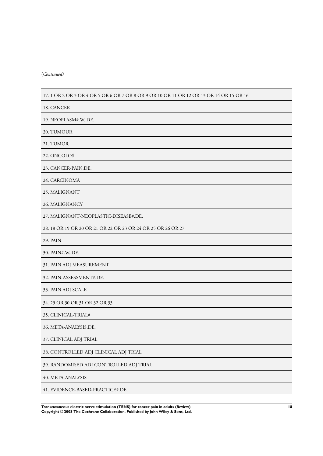| 17. 1 OR 2 OR 3 OR 4 OR 5 OR 6 OR 7 OR 8 OR 9 OR 10 OR 11 OR 12 OR 13 OR 14 OR 15 OR 16 |
|-----------------------------------------------------------------------------------------|
| 18. CANCER                                                                              |
| 19. NEOPLASM#.WDE.                                                                      |
| 20. TUMOUR                                                                              |
| 21. TUMOR                                                                               |
| 22. ONCOLO\$                                                                            |
| 23. CANCER-PAIN.DE.                                                                     |
| 24. CARCINOMA                                                                           |
| 25. MALIGNANT                                                                           |
| 26. MALIGNANCY                                                                          |
| 27. MALIGNANT-NEOPLASTIC-DISEASE#.DE.                                                   |
| 28. 18 OR 19 OR 20 OR 21 OR 22 OR 23 OR 24 OR 25 OR 26 OR 27                            |
| 29. PAIN                                                                                |
| 30. PAIN#.WDE.                                                                          |
| 31. PAIN ADJ MEASUREMENT                                                                |
| 32. PAIN-ASSESSMENT#.DE.                                                                |
| 33. PAIN ADJ SCALE                                                                      |
| 34. 29 OR 30 OR 31 OR 32 OR 33                                                          |
| 35. CLINICAL-TRIAL#                                                                     |
| 36. META-ANALYSIS.DE.                                                                   |
| 37. CLINICAL ADJ TRIAL                                                                  |
| 38. CONTROLLED ADJ CLINICAL ADJ TRIAL                                                   |
| 39. RANDOMISED ADJ CONTROLLED ADJ TRIAL                                                 |
| 40. META-ANALYSIS                                                                       |
| 41. EVIDENCE-BASED-PRACTICE#.DE.                                                        |
|                                                                                         |

**Transcutaneous electric nerve stimulation (TENS) for cancer pain in adults (Review) 18 Copyright © 2008 The Cochrane Collaboration. Published by John Wiley & Sons, Ltd.**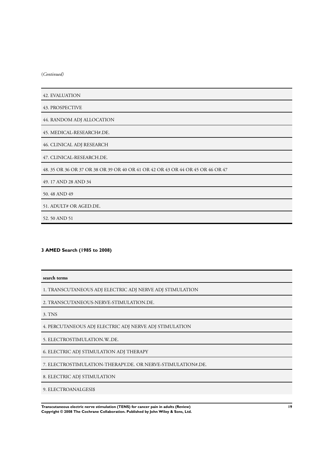42. EVALUATION

43. PROSPECTIVE

44. RANDOM ADJ ALLOCATION

45. MEDICAL-RESEARCH#.DE.

46. CLINICAL ADJ RESEARCH

47. CLINICAL-RESEARCH.DE.

48. 35 OR 36 OR 37 OR 38 OR 39 OR 40 OR 41 OR 42 OR 43 OR 44 OR 45 OR 46 OR 47

49. 17 AND 28 AND 34

50. 48 AND 49

51. ADULT# OR AGED.DE.

52. 50 AND 51

## **3 AMED Search (1985 to 2008)**

**search terms**

1. TRANSCUTANEOUS ADJ ELECTRIC ADJ NERVE ADJ STIMULATION

2. TRANSCUTANEOUS-NERVE-STIMULATION.DE.

3. TNS

4. PERCUTANEOUS ADJ ELECTRIC ADJ NERVE ADJ STIMULATION

5. ELECTROSTIMULATION.W..DE.

6. ELECTRIC ADJ STIMULATION ADJ THERAPY

7. ELECTROSTIMULATION-THERAPY.DE. OR NERVE-STIMULATION#.DE.

8. ELECTRIC ADJ STIMULATION

9. ELECTROANALGESI\$

**Transcutaneous electric nerve stimulation (TENS) for cancer pain in adults (Review) 19 Copyright © 2008 The Cochrane Collaboration. Published by John Wiley & Sons, Ltd.**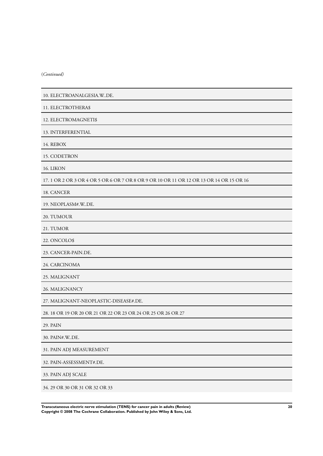10. ELECTROANALGESIA.W..DE.

11. ELECTROTHERA\$

12. ELECTROMAGNETI\$

13. INTERFERENTIAL

14. REBOX

15. CODETRON

16. LIKON

17. 1 OR 2 OR 3 OR 4 OR 5 OR 6 OR 7 OR 8 OR 9 OR 10 OR 11 OR 12 OR 13 OR 14 OR 15 OR 16

18. CANCER

19. NEOPLASM#.W..DE.

20. TUMOUR

21. TUMOR

22. ONCOLO\$

23. CANCER-PAIN.DE.

24. CARCINOMA

25. MALIGNANT

26. MALIGNANCY

27. MALIGNANT-NEOPLASTIC-DISEASE#.DE.

28. 18 OR 19 OR 20 OR 21 OR 22 OR 23 OR 24 OR 25 OR 26 OR 27

29. PAIN

30. PAIN#.W..DE.

31. PAIN ADJ MEASUREMENT

32. PAIN-ASSESSMENT#.DE.

33. PAIN ADJ SCALE

34. 29 OR 30 OR 31 OR 32 OR 33

**Transcutaneous electric nerve stimulation (TENS) for cancer pain in adults (Review) 20 Copyright © 2008 The Cochrane Collaboration. Published by John Wiley & Sons, Ltd.**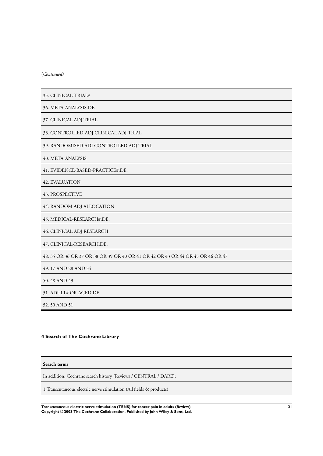35. CLINICAL-TRIAL#

36. META-ANALYSIS.DE.

37. CLINICAL ADJ TRIAL

38. CONTROLLED ADJ CLINICAL ADJ TRIAL

39. RANDOMISED ADJ CONTROLLED ADJ TRIAL

40. META-ANALYSIS

41. EVIDENCE-BASED-PRACTICE#.DE.

42. EVALUATION

43. PROSPECTIVE

44. RANDOM ADJ ALLOCATION

45. MEDICAL-RESEARCH#.DE.

46. CLINICAL ADJ RESEARCH

47. CLINICAL-RESEARCH.DE.

48. 35 OR 36 OR 37 OR 38 OR 39 OR 40 OR 41 OR 42 OR 43 OR 44 OR 45 OR 46 OR 47

49. 17 AND 28 AND 34

50. 48 AND 49

51. ADULT# OR AGED.DE.

52. 50 AND 51

#### **4 Search of The Cochrane Library**

#### **Search terms**

In addition, Cochrane search history (Reviews / CENTRAL / DARE):

1.Transcutaneous electric nerve stimulation (All fields & products)

**Transcutaneous electric nerve stimulation (TENS) for cancer pain in adults (Review) 21 Copyright © 2008 The Cochrane Collaboration. Published by John Wiley & Sons, Ltd.**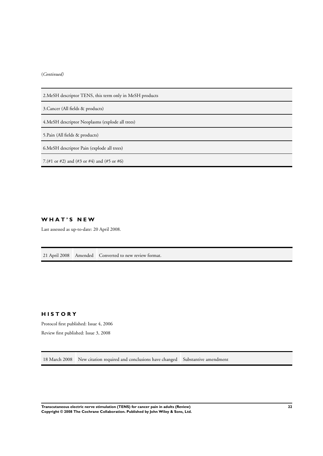2.MeSH descriptor TENS, this term only in MeSH products 3.Cancer (All fields & products) 4.MeSH descriptor Neoplasms (explode all trees) 5.Pain (All fields & products) 6.MeSH descriptor Pain (explode all trees) 7.(#1 or #2) and (#3 or #4) and (#5 or #6)

## **W H A T ' S N E W**

Last assessed as up-to-date: 20 April 2008.

21 April 2008 Amended Converted to new review format.

## **H I S T O R Y**

Protocol first published: Issue 4, 2006

Review first published: Issue 3, 2008

18 March 2008 New citation required and conclusions have changed Substantive amendment

**Transcutaneous electric nerve stimulation (TENS) for cancer pain in adults (Review) 22 Copyright © 2008 The Cochrane Collaboration. Published by John Wiley & Sons, Ltd.**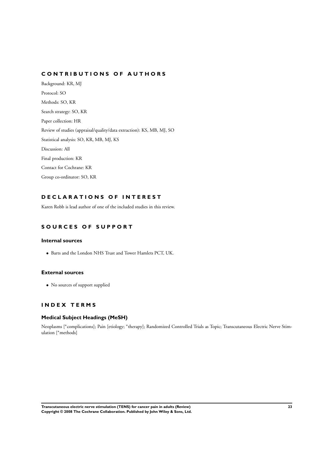## **C O N T R I B U T I O N S O F A U T H O R S**

Background: KR, MJ Protocol: SO Methods: SO, KR Search strategy: SO, KR Paper collection: HR Review of studies (appraisal/quality/data extraction): KS, MB, MJ, SO Statistical analysis: SO, KR, MB, MJ, KS Discussion: All Final production: KR Contact for Cochrane: KR Group co-ordinator: SO, KR

## **D E C L A R A T I O N S O F I N T E R E S T**

Karen Robb is lead author of one of the included studies in this review.

## **S O U R C E S O F S U P P O R T**

## **Internal sources**

• Barts and the London NHS Trust and Tower Hamlets PCT, UK.

## **External sources**

• No sources of support supplied

## **I N D E X T E R M S**

#### **Medical Subject Headings (MeSH)**

Neoplasms [<sup>∗</sup> complications]; Pain [etiology; <sup>∗</sup> therapy]; Randomized Controlled Trials as Topic; Transcutaneous Electric Nerve Stimulation [∗methods]